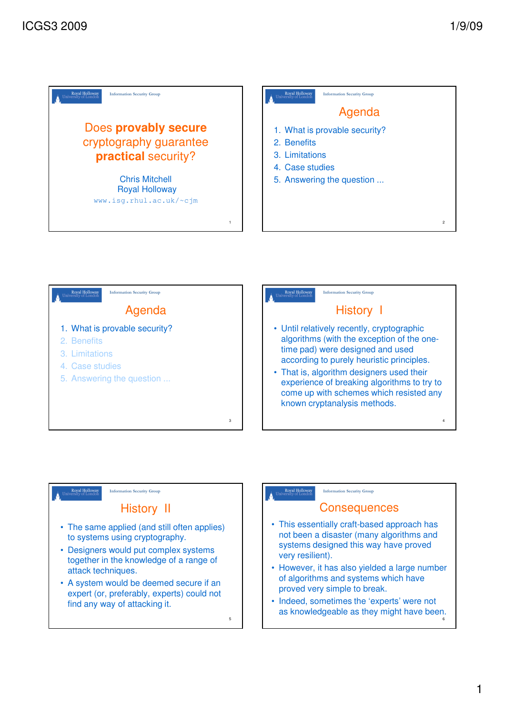



5

### Royal Hollow Information Security Group

## History II

- The same applied (and still often applies) to systems using cryptography.
- Designers would put complex systems together in the knowledge of a range of attack techniques.
- A system would be deemed secure if an expert (or, preferably, experts) could not find any way of attacking it.

### Royal Holloway

### Information Security Group

### **Consequences**

- This essentially craft-based approach has not been a disaster (many algorithms and systems designed this way have proved very resilient).
- However, it has also yielded a large number of algorithms and systems which have proved very simple to break.
- Indeed, sometimes the 'experts' were not as knowledgeable as they might have been.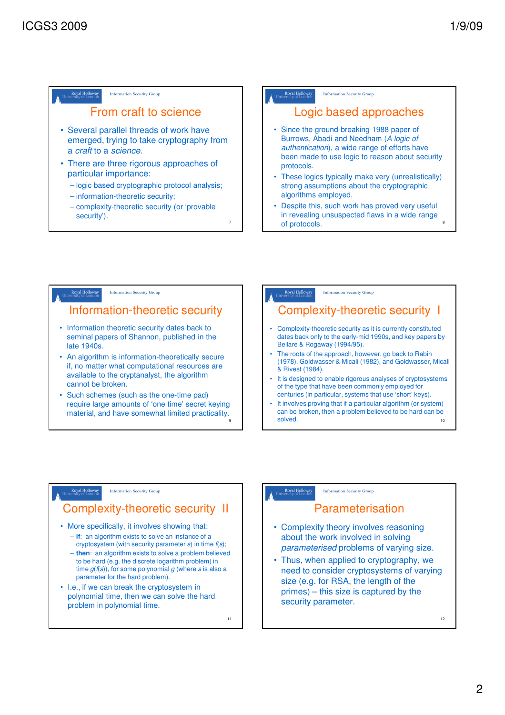## From craft to science

- Several parallel threads of work have emerged, trying to take cryptography from a craft to a science.
- There are three rigorous approaches of particular importance:
	- logic based cryptographic protocol analysis;
	- information-theoretic security;
	- complexity-theoretic security (or 'provable security').

Royal Holloway Information Security Group

### Logic based approaches

- Since the ground-breaking 1988 paper of Burrows, Abadi and Needham (A logic of authentication), a wide range of efforts have been made to use logic to reason about security protocols.
- These logics typically make very (unrealistically) strong assumptions about the cryptographic algorithms employed.
- Despite this, such work has proved very useful in revealing unsuspected flaws in a wide range of protocols.

## Information Security Group Information-theoretic security • Information theoretic security dates back to seminal papers of Shannon, published in the late 1940s.

- An algorithm is information-theoretically secure if, no matter what computational resources are available to the cryptanalyst, the algorithm cannot be broken.
- Such schemes (such as the one-time pad) require large amounts of 'one time' secret keying material, and have somewhat limited practicality.

#### Royal Holloway<br>niversity of Londor Information Security Group

# Complexity-theoretic security I

- Complexity-theoretic security as it is currently constituted dates back only to the early-mid 1990s, and key papers by Bellare & Rogaway (1994/95).
- The roots of the approach, however, go back to Rabin (1978), Goldwasser & Micali (1982), and Goldwasser, Micali & Rivest (1984).
- It is designed to enable rigorous analyses of cryptosystems of the type that have been commonly employed for centuries (in particular, systems that use 'short' keys).
- It involves proving that if a particular algorithm (or system) can be broken, then a problem believed to be hard can be solved. The contract of the contract of the contract of the contract of the contract of the contract of the contract of the contract of the contract of the contract of the contract of the contract of the contract of the co

#### Royal Hollowa Information Security Group

## Complexity-theoretic security II

- More specifically, it involves showing that: – **if**: an algorithm exists to solve an instance of a
	- cryptosystem (with security parameter s) in time  $f(s)$ ; – **then**: an algorithm exists to solve a problem believed to be hard (e.g. the discrete logarithm problem) in time  $g(f(s))$ , for some polynomial g (where s is also a parameter for the hard problem).
- I.e., if we can break the cryptosystem in polynomial time, then we can solve the hard problem in polynomial time.

11

9

7

#### Royal Holloway Information Security Group

# Parameterisation

- Complexity theory involves reasoning about the work involved in solving parameterised problems of varying size.
- Thus, when applied to cryptography, we need to consider cryptosystems of varying size (e.g. for RSA, the length of the primes) – this size is captured by the security parameter.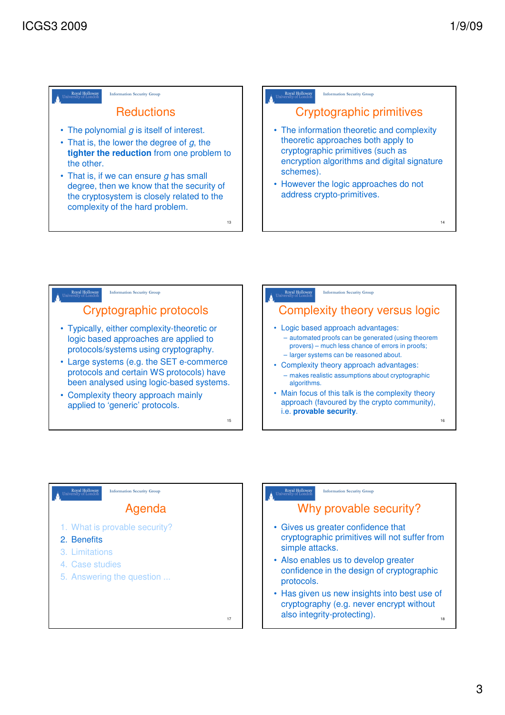







Royal Holloway

- Also enables us to develop greater confidence in the design of cryptographic protocols.
- Has given us new insights into best use of cryptography (e.g. never encrypt without also integrity-protecting). 18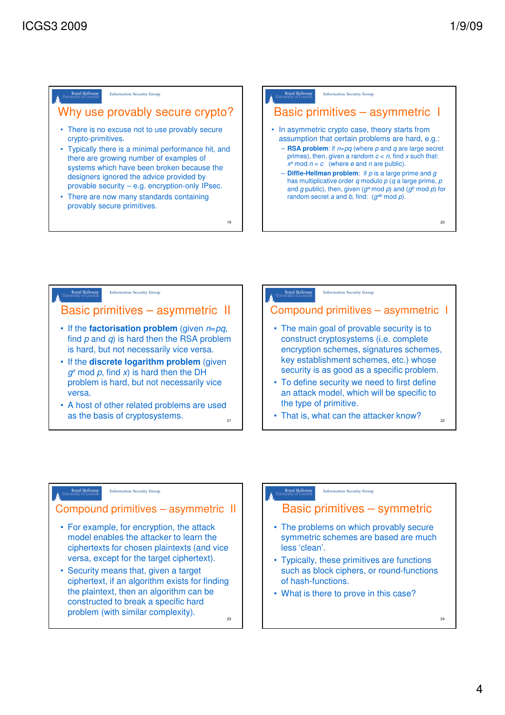



### Royal Hollowa Information Security Group

### Compound primitives – asymmetric II

- For example, for encryption, the attack model enables the attacker to learn the ciphertexts for chosen plaintexts (and vice versa, except for the target ciphertext).
- Security means that, given a target ciphertext, if an algorithm exists for finding the plaintext, then an algorithm can be constructed to break a specific hard problem (with similar complexity). 23

Royal Holloway Information Security Group

Basic primitives – symmetric

- The problems on which provably secure symmetric schemes are based are much less 'clean'.
- Typically, these primitives are functions such as block ciphers, or round-functions of hash-functions.
- What is there to prove in this case?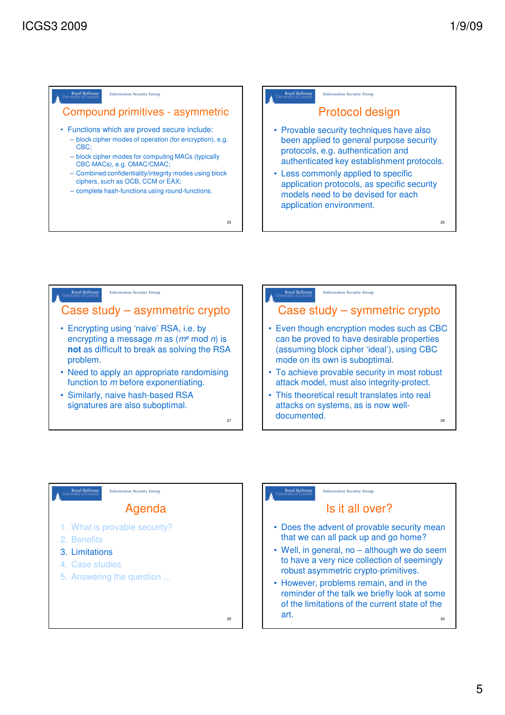







### Is it all over?

- Does the advent of provable security mean that we can all pack up and go home?
- Well, in general, no although we do seem to have a very nice collection of seemingly robust asymmetric crypto-primitives.
- However, problems remain, and in the reminder of the talk we briefly look at some of the limitations of the current state of the art. 30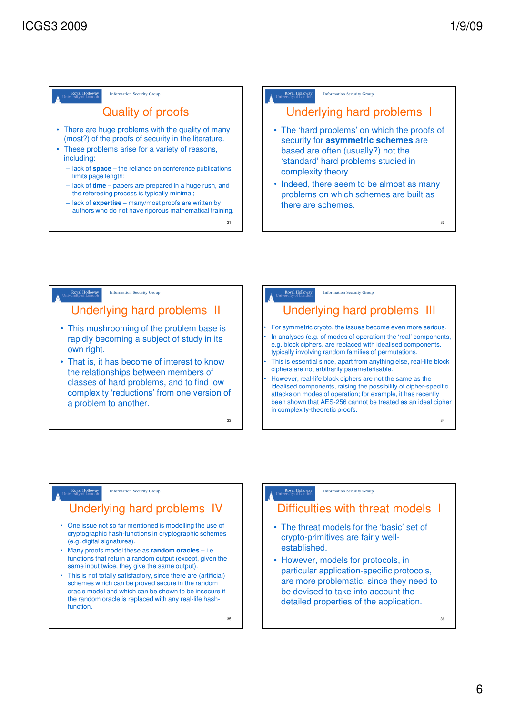32



Underlying hard problems I • The 'hard problems' on which the proofs of security for **asymmetric schemes** are based are often (usually?) not the 'standard' hard problems studied in complexity theory. • Indeed, there seem to be almost as many problems on which schemes are built as

Information Security Group



## Royal Holloway

### Underlying hard problems IV

nation Security Group

- One issue not so far mentioned is modelling the use of cryptographic hash-functions in cryptographic schemes (e.g. digital signatures).
- Many proofs model these as **random oracles** i.e. functions that return a random output (except, given the same input twice, they give the same output).
- This is not totally satisfactory, since there are (artificial) schemes which can be proved secure in the random oracle model and which can be shown to be insecure if the random oracle is replaced with any real-life hashfunction.

35

#### Royal Holloway Information Security Group

## Difficulties with threat models I

- The threat models for the 'basic' set of crypto-primitives are fairly wellestablished.
- However, models for protocols, in particular application-specific protocols, are more problematic, since they need to be devised to take into account the detailed properties of the application.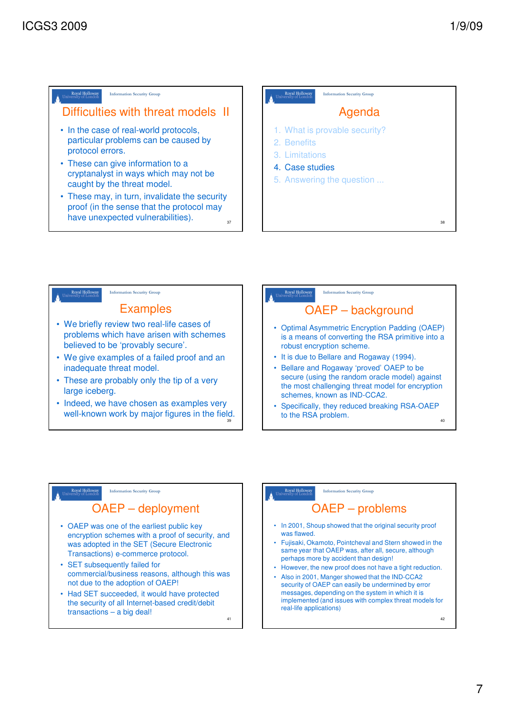Royal Holloway

### Information Security Group

# Difficulties with threat models II

- In the case of real-world protocols, particular problems can be caused by protocol errors.
- These can give information to a cryptanalyst in ways which may not be caught by the threat model.
- These may, in turn, invalidate the security proof (in the sense that the protocol may have unexpected vulnerabilities). 37





- large iceberg. • Indeed, we have chosen as examples very
- well-known work by major figures in the field. 39



# OAEP – background

- Optimal Asymmetric Encryption Padding (OAEP) is a means of converting the RSA primitive into a robust encryption scheme.
- It is due to Bellare and Rogaway (1994).
- Bellare and Rogaway 'proved' OAEP to be secure (using the random oracle model) against the most challenging threat model for encryption schemes, known as IND-CCA2.
- Specifically, they reduced breaking RSA-OAEP to the RSA problem. 40

### Information Security Group

## OAEP – deployment

- OAEP was one of the earliest public key encryption schemes with a proof of security, and was adopted in the SET (Secure Electronic Transactions) e-commerce protocol.
- SET subsequently failed for commercial/business reasons, although this was not due to the adoption of OAEP!
- Had SET succeeded, it would have protected the security of all Internet-based credit/debit transactions – a big deal!

41

#### Royal Holloway Information Security Group

# OAEP – problems

- In 2001, Shoup showed that the original security proof was flawed.
- Fujisaki, Okamoto, Pointcheval and Stern showed in the same year that OAEP was, after all, secure, although perhaps more by accident than design!
- However, the new proof does not have a tight reduction.
- Also in 2001, Manger showed that the IND-CCA2 security of OAEP can easily be undermined by error messages, depending on the system in which it is implemented (and issues with complex threat models for real-life applications)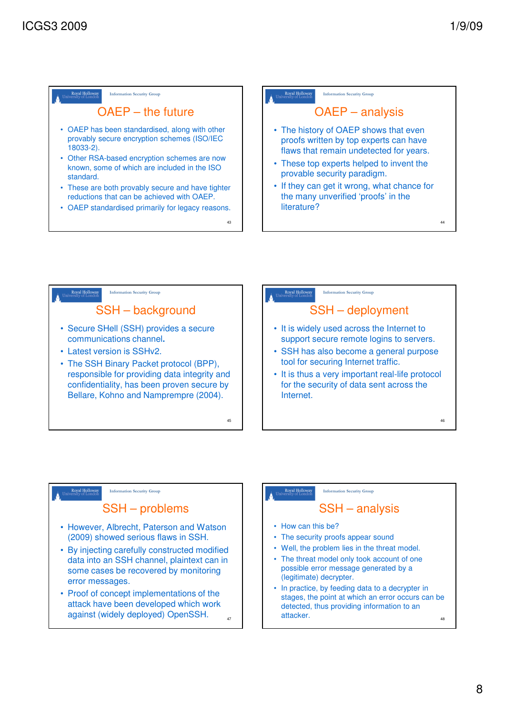



### Royal Hollowa Information Security Group

### SSH – problems

- However, Albrecht, Paterson and Watson (2009) showed serious flaws in SSH.
- By injecting carefully constructed modified data into an SSH channel, plaintext can in some cases be recovered by monitoring error messages.
- Proof of concept implementations of the attack have been developed which work against (widely deployed) OpenSSH. 47

### Royal Hollowa Information Security Group

## SSH – analysis

- How can this be?
- The security proofs appear sound
- Well, the problem lies in the threat model.
- The threat model only took account of one possible error message generated by a (legitimate) decrypter.
- In practice, by feeding data to a decrypter in stages, the point at which an error occurs can be detected, thus providing information to an attacker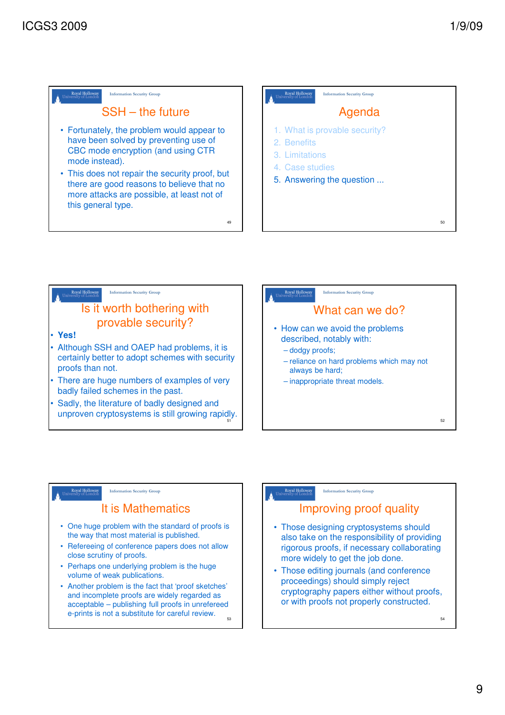# SSH – the future

- Fortunately, the problem would appear to have been solved by preventing use of CBC mode encryption (and using CTR mode instead).
- This does not repair the security proof, but there are good reasons to believe that no more attacks are possible, at least not of this general type.





49

## Royal Hollowa



Information Security Group

- One huge problem with the standard of proofs is the way that most material is published.
- Refereeing of conference papers does not allow close scrutiny of proofs.
- Perhaps one underlying problem is the huge volume of weak publications.
- Another problem is the fact that 'proof sketches' and incomplete proofs are widely regarded as acceptable – publishing full proofs in unrefereed e-prints is not a substitute for careful review. 53

#### Royal Holloway Information Security Group

# Improving proof quality

- Those designing cryptosystems should also take on the responsibility of providing rigorous proofs, if necessary collaborating more widely to get the job done.
- Those editing journals (and conference proceedings) should simply reject cryptography papers either without proofs, or with proofs not properly constructed.